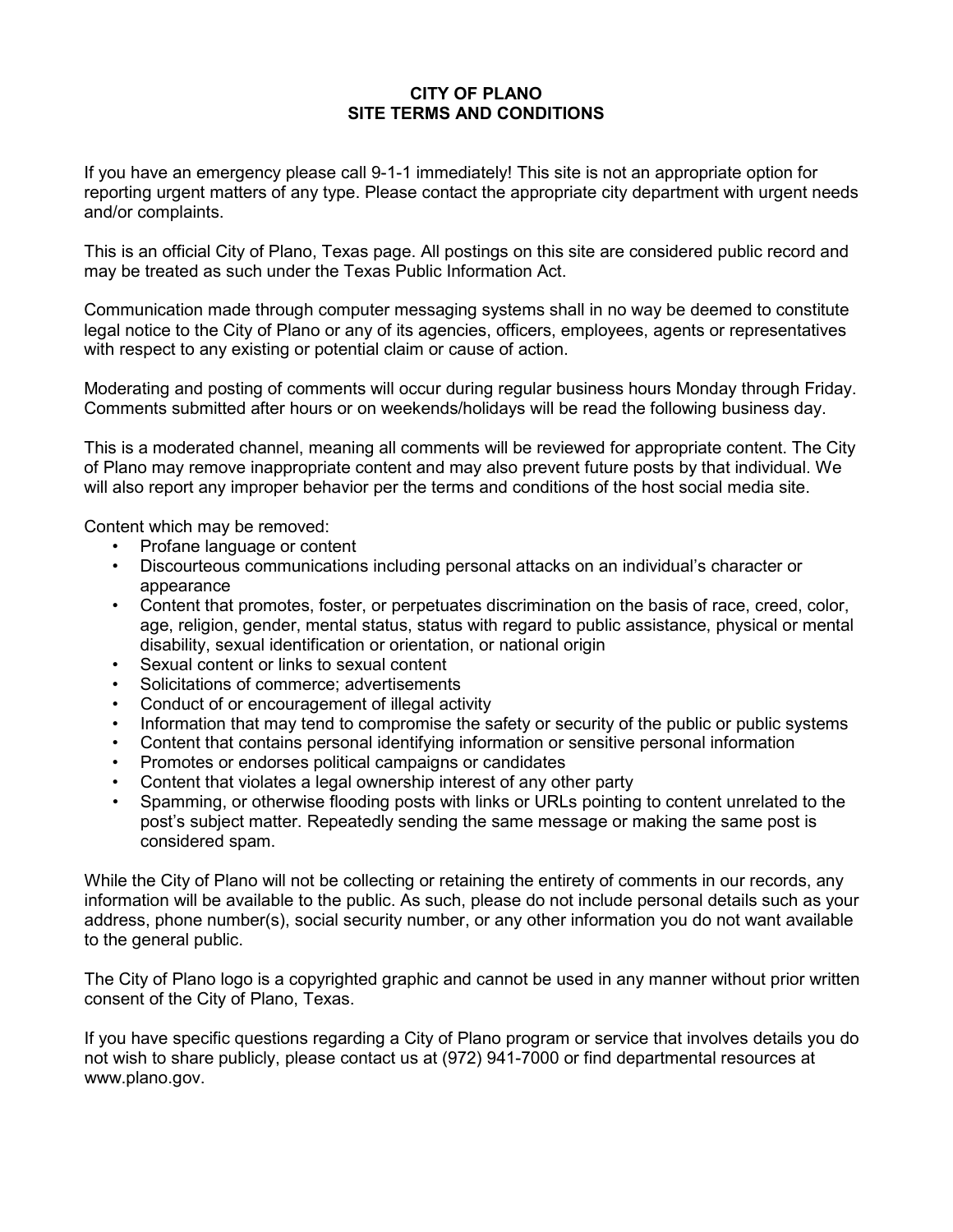## **CITY OF PLANO SITE TERMS AND CONDITIONS**

 reporting urgent matters of any type. Please contact the appropriate city department with urgent needs If you have an emergency please call 9-1-1 immediately! This site is not an appropriate option for and/or complaints.

 This is an official City of Plano, Texas page. All postings on this site are considered public record and may be treated as such under the Texas Public Information Act.

 with respect to any existing or potential claim or cause of action. Communication made through computer messaging systems shall in no way be deemed to constitute legal notice to the City of Plano or any of its agencies, officers, employees, agents or representatives

Moderating and posting of comments will occur during regular business hours Monday through Friday. Comments submitted after hours or on weekends/holidays will be read the following business day.

 of Plano may remove inappropriate content and may also prevent future posts by that individual. We This is a moderated channel, meaning all comments will be reviewed for appropriate content. The City will also report any improper behavior per the terms and conditions of the host social media site.

Content which may be removed:

- Profane language or content
- • Discourteous communications including personal attacks on an individual's character or appearance
- • Content that promotes, foster, or perpetuates discrimination on the basis of race, creed, color, age, religion, gender, mental status, status with regard to public assistance, physical or mental disability, sexual identification or orientation, or national origin
- Sexual content or links to sexual content
- Solicitations of commerce; advertisements
- Conduct of or encouragement of illegal activity
- Information that may tend to compromise the safety or security of the public or public systems
- Content that contains personal identifying information or sensitive personal information
- Promotes or endorses political campaigns or candidates
- Content that violates a legal ownership interest of any other party
- post's subject matter. Repeatedly sending the same message or making the same post is • Spamming, or otherwise flooding posts with links or URLs pointing to content unrelated to the considered spam.

 address, phone number(s), social security number, or any other information you do not want available While the City of Plano will not be collecting or retaining the entirety of comments in our records, any information will be available to the public. As such, please do not include personal details such as your to the general public.

 The City of Plano logo is a copyrighted graphic and cannot be used in any manner without prior written consent of the City of Plano, Texas.

 If you have specific questions regarding a City of Plano program or service that involves details you do not wish to share publicly, please contact us at (972) 941-7000 or find departmental resources at [www.plano.gov.](www.plano.gov)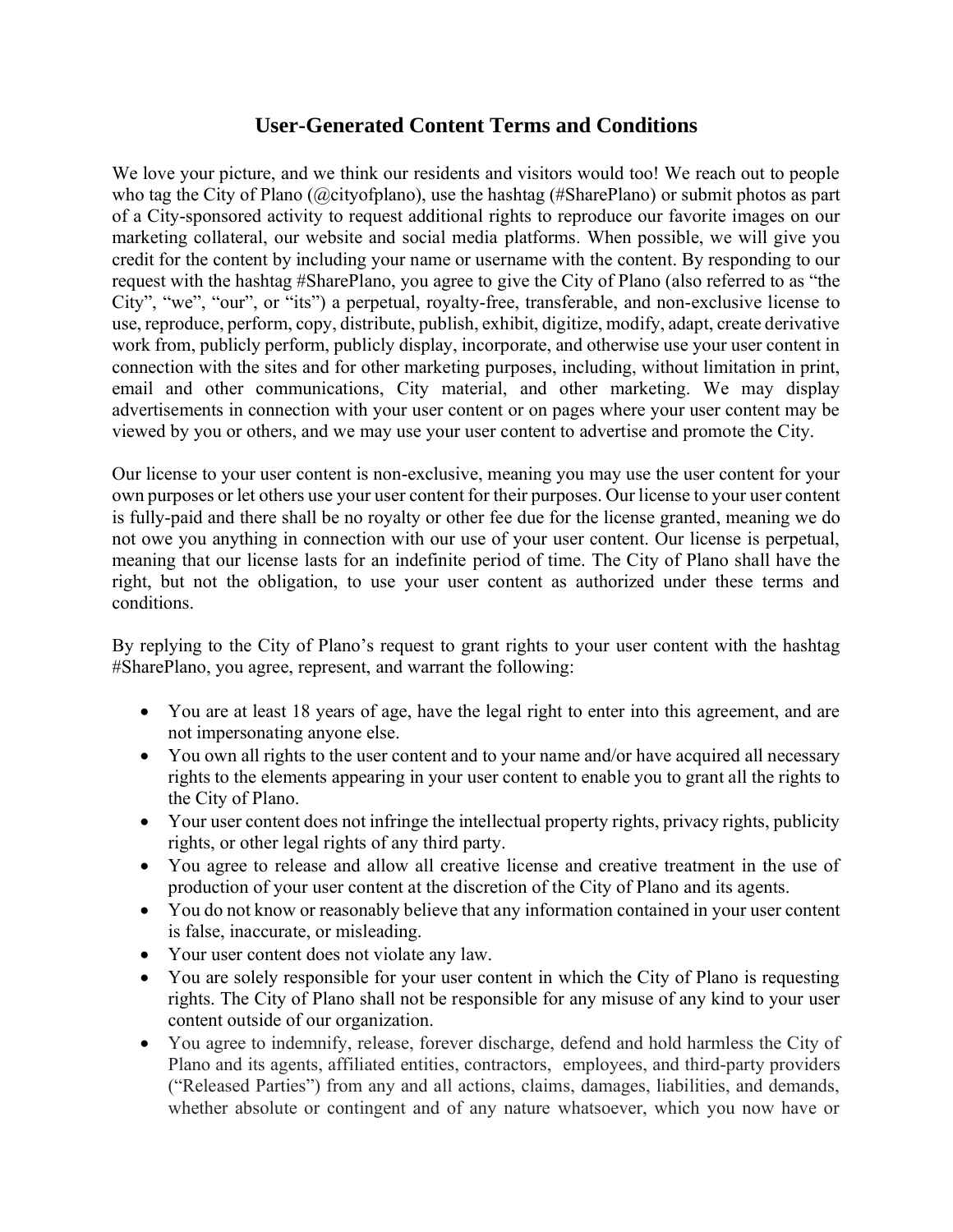## **User-Generated Content Terms and Conditions**

We love your picture, and we think our residents and visitors would too! We reach out to people who tag the City of Plano (@cityofplano), use the hashtag (#SharePlano) or submit photos as part of a City-sponsored activity to request additional rights to reproduce our favorite images on our marketing collateral, our website and social media platforms. When possible, we will give you credit for the content by including your name or username with the content. By responding to our request with the hashtag #SharePlano, you agree to give the City of Plano (also referred to as "the City", "we", "our", or "its") a perpetual, royalty-free, transferable, and non-exclusive license to use, reproduce, perform, copy, distribute, publish, exhibit, digitize, modify, adapt, create derivative work from, publicly perform, publicly display, incorporate, and otherwise use your user content in connection with the sites and for other marketing purposes, including, without limitation in print, email and other communications, City material, and other marketing. We may display advertisements in connection with your user content or on pages where your user content may be viewed by you or others, and we may use your user content to advertise and promote the City.

Our license to your user content is non-exclusive, meaning you may use the user content for your own purposes or let others use your user content for their purposes. Our license to your user content is fully-paid and there shall be no royalty or other fee due for the license granted, meaning we do not owe you anything in connection with our use of your user content. Our license is perpetual, meaning that our license lasts for an indefinite period of time. The City of Plano shall have the right, but not the obligation, to use your user content as authorized under these terms and conditions.

 By replying to the City of Plano's request to grant rights to your user content with the hashtag #SharePlano, you agree, represent, and warrant the following:

- You are at least 18 years of age, have the legal right to enter into this agreement, and are not impersonating anyone else.
- You own all rights to the user content and to your name and/or have acquired all necessary rights to the elements appearing in your user content to enable you to grant all the rights to the City of Plano.
- Your user content does not infringe the intellectual property rights, privacy rights, publicity rights, or other legal rights of any third party.
- You agree to release and allow all creative license and creative treatment in the use of production of your user content at the discretion of the City of Plano and its agents.
- You do not know or reasonably believe that any information contained in your user content is false, inaccurate, or misleading.
- Your user content does not violate any law.
- You are solely responsible for your user content in which the City of Plano is requesting rights. The City of Plano shall not be responsible for any misuse of any kind to your user content outside of our organization.
- ("Released Parties") from any and all actions, claims, damages, liabilities, and demands, • You agree to indemnify, release, forever discharge, defend and hold harmless the City of Plano and its agents, affiliated entities, contractors, employees, and third-party providers whether absolute or contingent and of any nature whatsoever, which you now have or